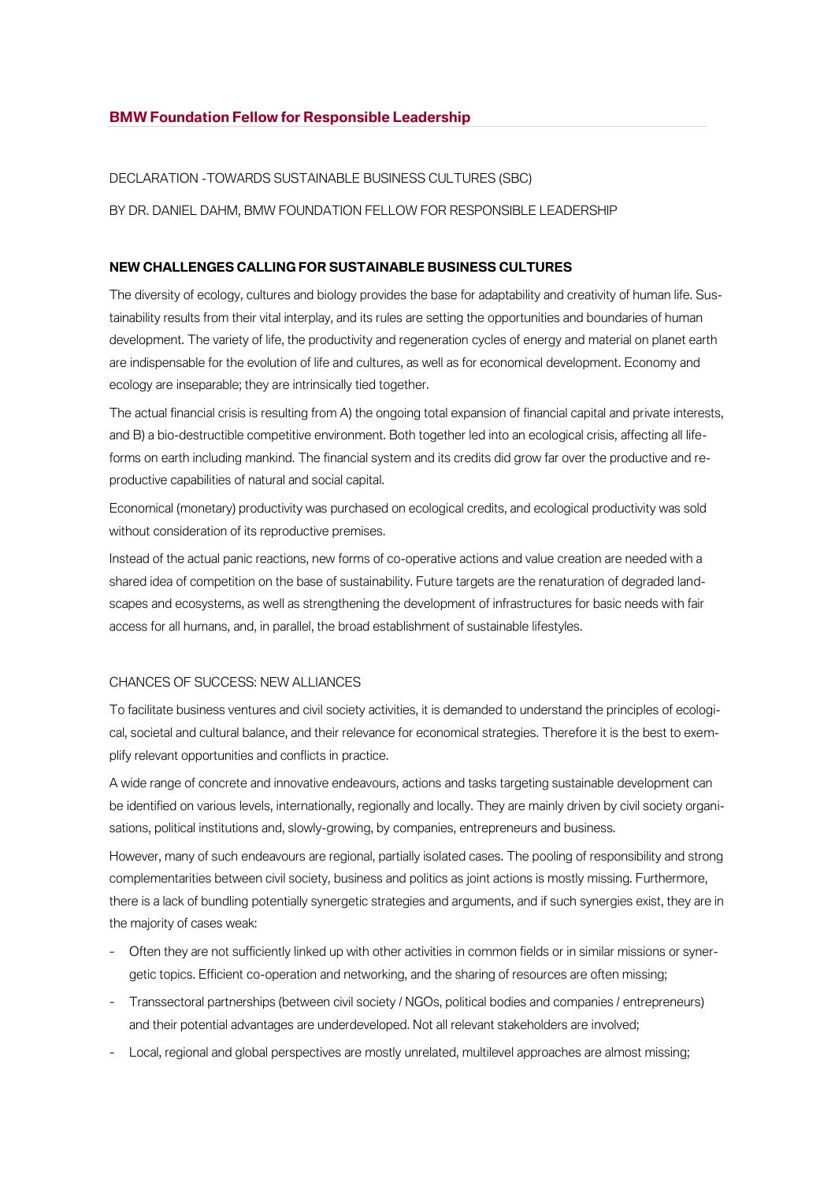### DECLARATION -TOWARDS SUSTAINABLE BUSINESS CULTURES (SBC)

BY DR. DANIEL DAHM, BMW FOUNDATION FELLOW FOR RESPONSIBLE LEADERSHIP

# **NEW CHALLENGES CALLING FOR SUSTAINABLE BUSINESS CULTURES**

The diversity of ecology, cultures and biology provides the base for adaptability and creativity of human life. Sustainability results from their vital interplay, and its rules are setting the opportunities and boundaries of human development. The variety of life, the productivity and regeneration cycles of energy and material on planet earth are indispensable for the evolution of life and cultures, as well as for economical development. Economy and ecology are inseparable; they are intrinsically tied together.

The actual financial crisis is resulting from A) the ongoing total expansion of financial capital and private interests, and B) a bio-destructible competitive environment. Both together led into an ecological crisis, affecting all lifeforms on earth including mankind. The financial system and its credits did grow far over the productive and reproductive capabilities of natural and social capital.

Economical (monetary) productivity was purchased on ecological credits, and ecological productivity was sold without consideration of its reproductive premises.

Instead of the actual panic reactions, new forms of co-operative actions and value creation are needed with a shared idea of competition on the base of sustainability. Future targets are the renaturation of degraded landscapes and ecosystems, as well as strengthening the development of infrastructures for basic needs with fair access for all humans, and, in parallel, the broad establishment of sustainable lifestyles.

#### CHANCES OF SUCCESS: NEW ALLIANCES

To facilitate business ventures and civil society activities, it is demanded to understand the principles of ecological, societal and cultural balance, and their relevance for economical strategies. Therefore it is the best to exemplify relevant opportunities and conflicts in practice.

A wide range of concrete and innovative endeavours, actions and tasks targeting sustainable development can be identified on various levels, internationally, regionally and locally. They are mainly driven by civil society organisations, political institutions and, slowly-growing, by companies, entrepreneurs and business.

However, many of such endeavours are regional, partially isolated cases. The pooling of responsibility and strong complementarities between civil society, business and politics as joint actions is mostly missing. Furthermore, there is a lack of bundling potentially synergetic strategies and arguments, and if such synergies exist, they are in the majority of cases weak:

- Often they are not sufficiently linked up with other activities in common fields or in similar missions or synergetic topics. Efficient co-operation and networking, and the sharing of resources are often missing;
- Transsectoral partnerships (between civil society / NGOs, political bodies and companies / entrepreneurs) and their potential advantages are underdeveloped. Not all relevant stakeholders are involved;
- Local, regional and global perspectives are mostly unrelated, multilevel approaches are almost missing;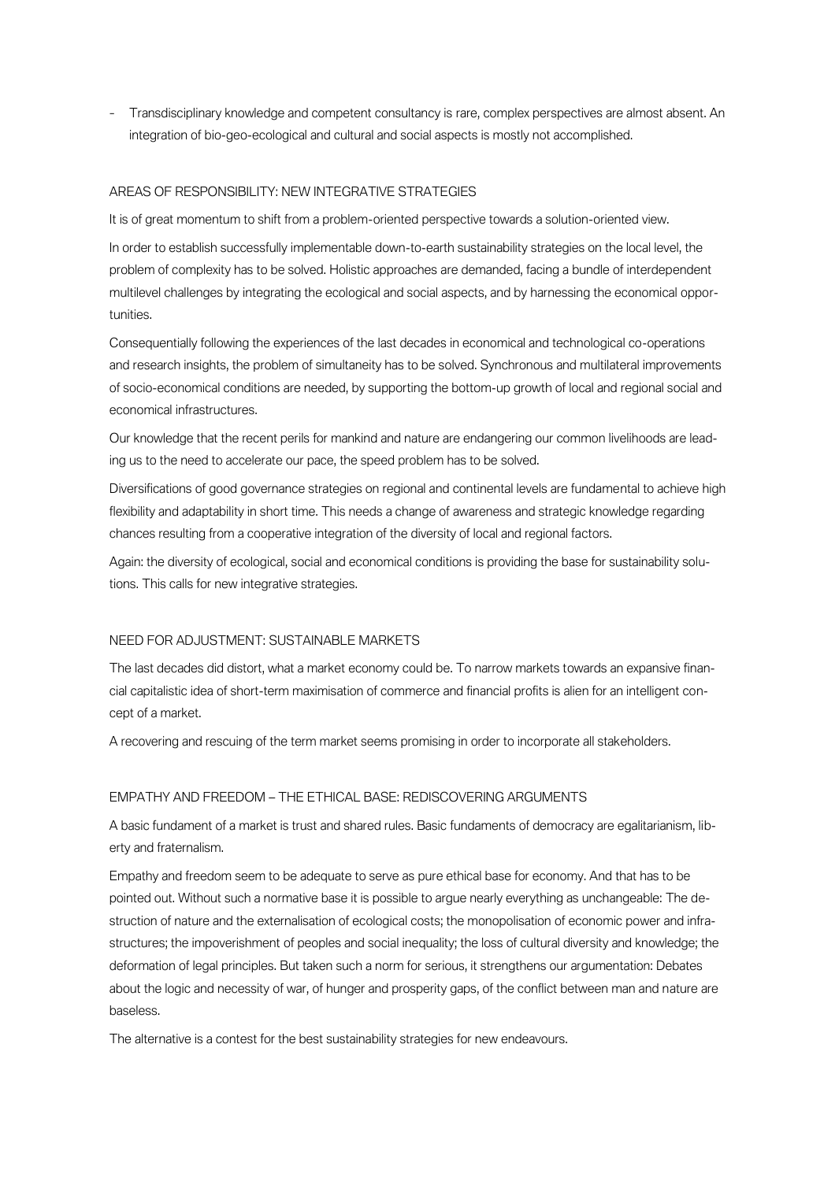– Transdisciplinary knowledge and competent consultancy is rare, complex perspectives are almost absent. An integration of bio-geo-ecological and cultural and social aspects is mostly not accomplished.

## AREAS OF RESPONSIBILITY: NEW INTEGRATIVE STRATEGIES

It is of great momentum to shift from a problem-oriented perspective towards a solution-oriented view.

In order to establish successfully implementable down-to-earth sustainability strategies on the local level, the problem of complexity has to be solved. Holistic approaches are demanded, facing a bundle of interdependent multilevel challenges by integrating the ecological and social aspects, and by harnessing the economical opportunities.

Consequentially following the experiences of the last decades in economical and technological co-operations and research insights, the problem of simultaneity has to be solved. Synchronous and multilateral improvements of socio-economical conditions are needed, by supporting the bottom-up growth of local and regional social and economical infrastructures.

Our knowledge that the recent perils for mankind and nature are endangering our common livelihoods are leading us to the need to accelerate our pace, the speed problem has to be solved.

Diversifications of good governance strategies on regional and continental levels are fundamental to achieve high flexibility and adaptability in short time. This needs a change of awareness and strategic knowledge regarding chances resulting from a cooperative integration of the diversity of local and regional factors.

Again: the diversity of ecological, social and economical conditions is providing the base for sustainability solutions. This calls for new integrative strategies.

## NEED FOR ADJUSTMENT: SUSTAINABLE MARKETS

The last decades did distort, what a market economy could be. To narrow markets towards an expansive financial capitalistic idea of short-term maximisation of commerce and financial profits is alien for an intelligent concept of a market.

A recovering and rescuing of the term market seems promising in order to incorporate all stakeholders.

## EMPATHY AND FREEDOM – THE ETHICAL BASE: REDISCOVERING ARGUMENTS

A basic fundament of a market is trust and shared rules. Basic fundaments of democracy are egalitarianism, liberty and fraternalism.

Empathy and freedom seem to be adequate to serve as pure ethical base for economy. And that has to be pointed out. Without such a normative base it is possible to argue nearly everything as unchangeable: The destruction of nature and the externalisation of ecological costs; the monopolisation of economic power and infrastructures; the impoverishment of peoples and social inequality; the loss of cultural diversity and knowledge; the deformation of legal principles. But taken such a norm for serious, it strengthens our argumentation: Debates about the logic and necessity of war, of hunger and prosperity gaps, of the conflict between man and nature are baseless.

The alternative is a contest for the best sustainability strategies for new endeavours.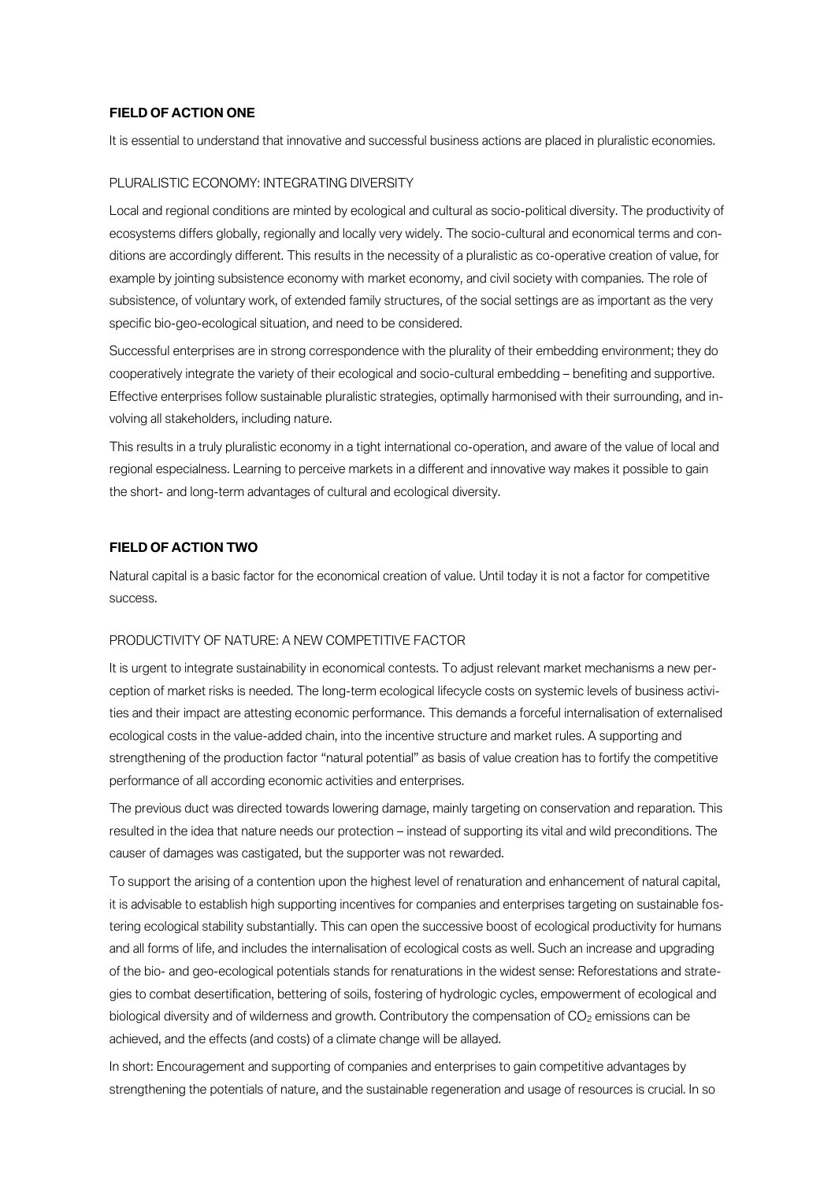### **FIELD OF ACTION ONE**

It is essential to understand that innovative and successful business actions are placed in pluralistic economies.

#### PLURALISTIC ECONOMY: INTEGRATING DIVERSITY

Local and regional conditions are minted by ecological and cultural as socio-political diversity. The productivity of ecosystems differs globally, regionally and locally very widely. The socio-cultural and economical terms and conditions are accordingly different. This results in the necessity of a pluralistic as co-operative creation of value, for example by jointing subsistence economy with market economy, and civil society with companies. The role of subsistence, of voluntary work, of extended family structures, of the social settings are as important as the very specific bio-geo-ecological situation, and need to be considered.

Successful enterprises are in strong correspondence with the plurality of their embedding environment; they do cooperatively integrate the variety of their ecological and socio-cultural embedding – benefiting and supportive. Effective enterprises follow sustainable pluralistic strategies, optimally harmonised with their surrounding, and involving all stakeholders, including nature.

This results in a truly pluralistic economy in a tight international co-operation, and aware of the value of local and regional especialness. Learning to perceive markets in a different and innovative way makes it possible to gain the short- and long-term advantages of cultural and ecological diversity.

### **FIELD OF ACTION TWO**

Natural capital is a basic factor for the economical creation of value. Until today it is not a factor for competitive success.

## PRODUCTIVITY OF NATURE: A NEW COMPETITIVE FACTOR

It is urgent to integrate sustainability in economical contests. To adjust relevant market mechanisms a new perception of market risks is needed. The long-term ecological lifecycle costs on systemic levels of business activities and their impact are attesting economic performance. This demands a forceful internalisation of externalised ecological costs in the value-added chain, into the incentive structure and market rules. A supporting and strengthening of the production factor "natural potential" as basis of value creation has to fortify the competitive performance of all according economic activities and enterprises.

The previous duct was directed towards lowering damage, mainly targeting on conservation and reparation. This resulted in the idea that nature needs our protection – instead of supporting its vital and wild preconditions. The causer of damages was castigated, but the supporter was not rewarded.

To support the arising of a contention upon the highest level of renaturation and enhancement of natural capital, it is advisable to establish high supporting incentives for companies and enterprises targeting on sustainable fostering ecological stability substantially. This can open the successive boost of ecological productivity for humans and all forms of life, and includes the internalisation of ecological costs as well. Such an increase and upgrading of the bio- and geo-ecological potentials stands for renaturations in the widest sense: Reforestations and strategies to combat desertification, bettering of soils, fostering of hydrologic cycles, empowerment of ecological and biological diversity and of wilderness and growth. Contributory the compensation of CO<sub>2</sub> emissions can be achieved, and the effects (and costs) of a climate change will be allayed.

In short: Encouragement and supporting of companies and enterprises to gain competitive advantages by strengthening the potentials of nature, and the sustainable regeneration and usage of resources is crucial. In so